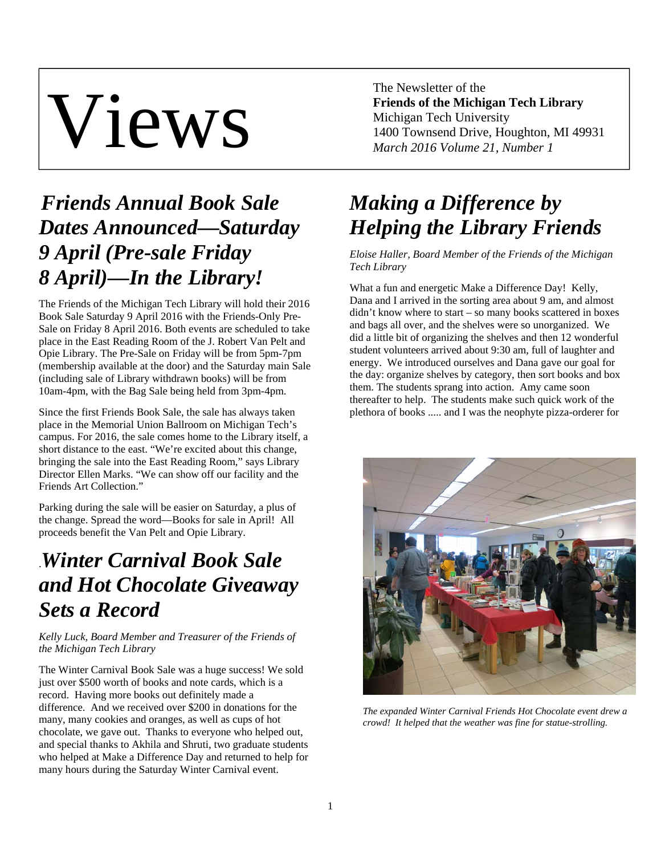# Views

The Newsletter of the **Friends of the Michigan Tech Library**  Michigan Tech University 1400 Townsend Drive, Houghton, MI 49931 *March 2016 Volume 21, Number 1* 

# *Friends Annual Book Sale Dates Announced—Saturday 9 April (Pre-sale Friday 8 April)—In the Library!*

The Friends of the Michigan Tech Library will hold their 2016 Book Sale Saturday 9 April 2016 with the Friends-Only Pre-Sale on Friday 8 April 2016. Both events are scheduled to take place in the East Reading Room of the J. Robert Van Pelt and Opie Library. The Pre-Sale on Friday will be from 5pm-7pm (membership available at the door) and the Saturday main Sale (including sale of Library withdrawn books) will be from 10am-4pm, with the Bag Sale being held from 3pm-4pm.

Since the first Friends Book Sale, the sale has always taken place in the Memorial Union Ballroom on Michigan Tech's campus. For 2016, the sale comes home to the Library itself, a short distance to the east. "We're excited about this change, bringing the sale into the East Reading Room," says Library Director Ellen Marks. "We can show off our facility and the Friends Art Collection."

Parking during the sale will be easier on Saturday, a plus of the change. Spread the word—Books for sale in April! All proceeds benefit the Van Pelt and Opie Library.

# .*Winter Carnival Book Sale and Hot Chocolate Giveaway Sets a Record*

*Kelly Luck, Board Member and Treasurer of the Friends of the Michigan Tech Library* 

The Winter Carnival Book Sale was a huge success! We sold just over \$500 worth of books and note cards, which is a record. Having more books out definitely made a difference. And we received over \$200 in donations for the many, many cookies and oranges, as well as cups of hot chocolate, we gave out. Thanks to everyone who helped out, and special thanks to Akhila and Shruti, two graduate students who helped at Make a Difference Day and returned to help for many hours during the Saturday Winter Carnival event.

# *Making a Difference by Helping the Library Friends*

*Eloise Haller, Board Member of the Friends of the Michigan Tech Library* 

What a fun and energetic Make a Difference Day! Kelly, Dana and I arrived in the sorting area about 9 am, and almost didn't know where to start – so many books scattered in boxes and bags all over, and the shelves were so unorganized. We did a little bit of organizing the shelves and then 12 wonderful student volunteers arrived about 9:30 am, full of laughter and energy. We introduced ourselves and Dana gave our goal for the day: organize shelves by category, then sort books and box them. The students sprang into action. Amy came soon thereafter to help. The students make such quick work of the plethora of books ..... and I was the neophyte pizza-orderer for



*The expanded Winter Carnival Friends Hot Chocolate event drew a crowd! It helped that the weather was fine for statue-strolling.*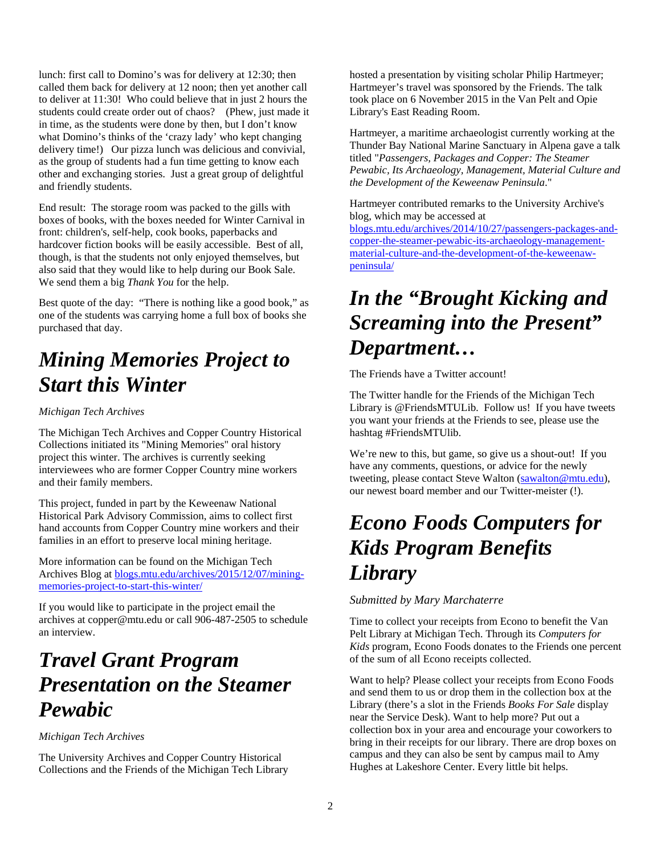lunch: first call to Domino's was for delivery at 12:30; then called them back for delivery at 12 noon; then yet another call to deliver at 11:30! Who could believe that in just 2 hours the students could create order out of chaos? (Phew, just made it in time, as the students were done by then, but I don't know what Domino's thinks of the 'crazy lady' who kept changing delivery time!) Our pizza lunch was delicious and convivial, as the group of students had a fun time getting to know each other and exchanging stories. Just a great group of delightful and friendly students.

End result: The storage room was packed to the gills with boxes of books, with the boxes needed for Winter Carnival in front: children's, self-help, cook books, paperbacks and hardcover fiction books will be easily accessible. Best of all, though, is that the students not only enjoyed themselves, but also said that they would like to help during our Book Sale. We send them a big *Thank You* for the help.

Best quote of the day: "There is nothing like a good book," as one of the students was carrying home a full box of books she purchased that day.

## *Mining Memories Project to Start this Winter*

#### *Michigan Tech Archives*

The Michigan Tech Archives and Copper Country Historical Collections initiated its "Mining Memories" oral history project this winter. The archives is currently seeking interviewees who are former Copper Country mine workers and their family members.

This project, funded in part by the Keweenaw National Historical Park Advisory Commission, aims to collect first hand accounts from Copper Country mine workers and their families in an effort to preserve local mining heritage.

More information can be found on the Michigan Tech Archives Blog at blogs.mtu.edu/archives/2015/12/07/miningmemories-project-to-start-this-winter/

If you would like to participate in the project email the archives at copper@mtu.edu or call 906-487-2505 to schedule an interview.

### *Travel Grant Program Presentation on the Steamer Pewabic*

#### *Michigan Tech Archives*

The University Archives and Copper Country Historical Collections and the Friends of the Michigan Tech Library

hosted a presentation by visiting scholar Philip Hartmeyer; Hartmeyer's travel was sponsored by the Friends. The talk took place on 6 November 2015 in the Van Pelt and Opie Library's East Reading Room.

Hartmeyer, a maritime archaeologist currently working at the Thunder Bay National Marine Sanctuary in Alpena gave a talk titled "*Passengers, Packages and Copper: The Steamer Pewabic, Its Archaeology, Management, Material Culture and the Development of the Keweenaw Peninsula*."

Hartmeyer contributed remarks to the University Archive's blog, which may be accessed at

blogs.mtu.edu/archives/2014/10/27/passengers-packages-andcopper-the-steamer-pewabic-its-archaeology-managementmaterial-culture-and-the-development-of-the-keweenawpeninsula/

## *In the "Brought Kicking and Screaming into the Present" Department…*

The Friends have a Twitter account!

The Twitter handle for the Friends of the Michigan Tech Library is @FriendsMTULib. Follow us! If you have tweets you want your friends at the Friends to see, please use the hashtag #FriendsMTUlib.

We're new to this, but game, so give us a shout-out! If you have any comments, questions, or advice for the newly tweeting, please contact Steve Walton (sawalton@mtu.edu), our newest board member and our Twitter-meister (!).

#### *Econo Foods Computers for Kids Program Benefits Library*

*Submitted by Mary Marchaterre* 

Time to collect your receipts from Econo to benefit the Van Pelt Library at Michigan Tech. Through its *Computers for Kids* program, Econo Foods donates to the Friends one percent of the sum of all Econo receipts collected.

Want to help? Please collect your receipts from Econo Foods and send them to us or drop them in the collection box at the Library (there's a slot in the Friends *Books For Sale* display near the Service Desk). Want to help more? Put out a collection box in your area and encourage your coworkers to bring in their receipts for our library. There are drop boxes on campus and they can also be sent by campus mail to Amy Hughes at Lakeshore Center. Every little bit helps.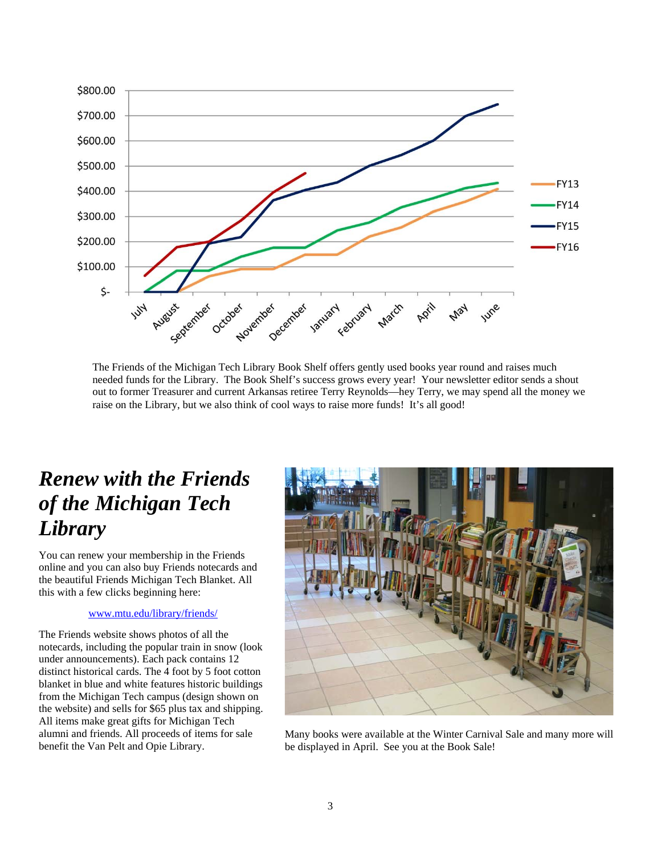

The Friends of the Michigan Tech Library Book Shelf offers gently used books year round and raises much needed funds for the Library. The Book Shelf's success grows every year! Your newsletter editor sends a shout out to former Treasurer and current Arkansas retiree Terry Reynolds—hey Terry, we may spend all the money we raise on the Library, but we also think of cool ways to raise more funds! It's all good!

### *Renew with the Friends of the Michigan Tech Library*

You can renew your membership in the Friends online and you can also buy Friends notecards and the beautiful Friends Michigan Tech Blanket. All this with a few clicks beginning here:

#### www.mtu.edu/library/friends/

The Friends website shows photos of all the notecards, including the popular train in snow (look under announcements). Each pack contains 12 distinct historical cards. The 4 foot by 5 foot cotton blanket in blue and white features historic buildings from the Michigan Tech campus (design shown on the website) and sells for \$65 plus tax and shipping. All items make great gifts for Michigan Tech alumni and friends. All proceeds of items for sale benefit the Van Pelt and Opie Library.



Many books were available at the Winter Carnival Sale and many more will be displayed in April. See you at the Book Sale!